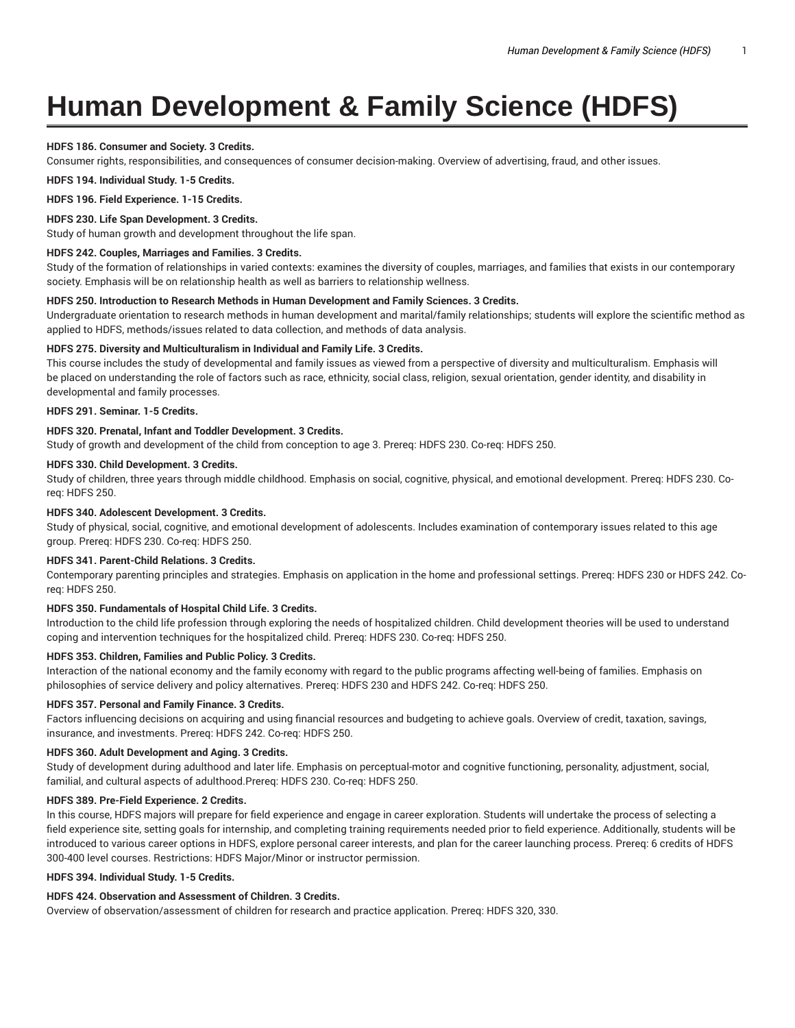# **Human Development & Family Science (HDFS)**

# **HDFS 186. Consumer and Society. 3 Credits.**

Consumer rights, responsibilities, and consequences of consumer decision-making. Overview of advertising, fraud, and other issues.

**HDFS 194. Individual Study. 1-5 Credits.**

**HDFS 196. Field Experience. 1-15 Credits.**

# **HDFS 230. Life Span Development. 3 Credits.**

Study of human growth and development throughout the life span.

## **HDFS 242. Couples, Marriages and Families. 3 Credits.**

Study of the formation of relationships in varied contexts: examines the diversity of couples, marriages, and families that exists in our contemporary society. Emphasis will be on relationship health as well as barriers to relationship wellness.

### **HDFS 250. Introduction to Research Methods in Human Development and Family Sciences. 3 Credits.**

Undergraduate orientation to research methods in human development and marital/family relationships; students will explore the scientific method as applied to HDFS, methods/issues related to data collection, and methods of data analysis.

# **HDFS 275. Diversity and Multiculturalism in Individual and Family Life. 3 Credits.**

This course includes the study of developmental and family issues as viewed from a perspective of diversity and multiculturalism. Emphasis will be placed on understanding the role of factors such as race, ethnicity, social class, religion, sexual orientation, gender identity, and disability in developmental and family processes.

# **HDFS 291. Seminar. 1-5 Credits.**

# **HDFS 320. Prenatal, Infant and Toddler Development. 3 Credits.**

Study of growth and development of the child from conception to age 3. Prereq: HDFS 230. Co-req: HDFS 250.

# **HDFS 330. Child Development. 3 Credits.**

Study of children, three years through middle childhood. Emphasis on social, cognitive, physical, and emotional development. Prereq: HDFS 230. Coreq: HDFS 250.

## **HDFS 340. Adolescent Development. 3 Credits.**

Study of physical, social, cognitive, and emotional development of adolescents. Includes examination of contemporary issues related to this age group. Prereq: HDFS 230. Co-req: HDFS 250.

# **HDFS 341. Parent-Child Relations. 3 Credits.**

Contemporary parenting principles and strategies. Emphasis on application in the home and professional settings. Prereq: HDFS 230 or HDFS 242. Coreq: HDFS 250.

# **HDFS 350. Fundamentals of Hospital Child Life. 3 Credits.**

Introduction to the child life profession through exploring the needs of hospitalized children. Child development theories will be used to understand coping and intervention techniques for the hospitalized child. Prereq: HDFS 230. Co-req: HDFS 250.

# **HDFS 353. Children, Families and Public Policy. 3 Credits.**

Interaction of the national economy and the family economy with regard to the public programs affecting well-being of families. Emphasis on philosophies of service delivery and policy alternatives. Prereq: HDFS 230 and HDFS 242. Co-req: HDFS 250.

# **HDFS 357. Personal and Family Finance. 3 Credits.**

Factors influencing decisions on acquiring and using financial resources and budgeting to achieve goals. Overview of credit, taxation, savings, insurance, and investments. Prereq: HDFS 242. Co-req: HDFS 250.

# **HDFS 360. Adult Development and Aging. 3 Credits.**

Study of development during adulthood and later life. Emphasis on perceptual-motor and cognitive functioning, personality, adjustment, social, familial, and cultural aspects of adulthood.Prereq: HDFS 230. Co-req: HDFS 250.

# **HDFS 389. Pre-Field Experience. 2 Credits.**

In this course, HDFS majors will prepare for field experience and engage in career exploration. Students will undertake the process of selecting a field experience site, setting goals for internship, and completing training requirements needed prior to field experience. Additionally, students will be introduced to various career options in HDFS, explore personal career interests, and plan for the career launching process. Prereq: 6 credits of HDFS 300-400 level courses. Restrictions: HDFS Major/Minor or instructor permission.

#### **HDFS 394. Individual Study. 1-5 Credits.**

# **HDFS 424. Observation and Assessment of Children. 3 Credits.**

Overview of observation/assessment of children for research and practice application. Prereq: HDFS 320, 330.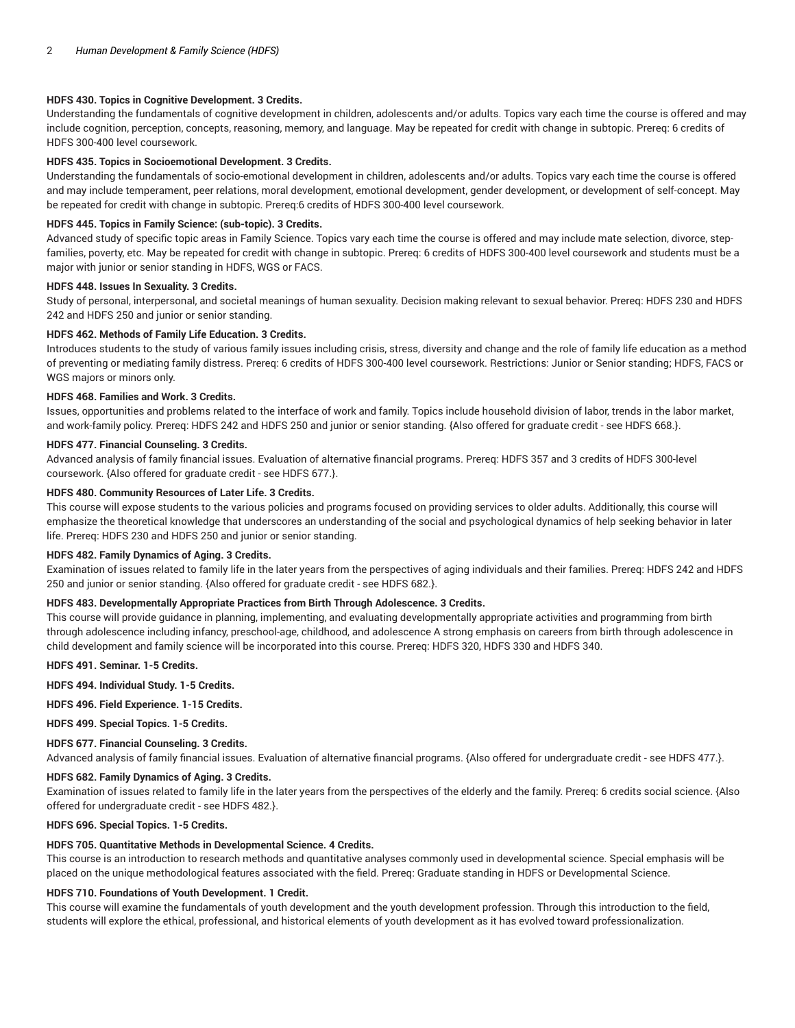## **HDFS 430. Topics in Cognitive Development. 3 Credits.**

Understanding the fundamentals of cognitive development in children, adolescents and/or adults. Topics vary each time the course is offered and may include cognition, perception, concepts, reasoning, memory, and language. May be repeated for credit with change in subtopic. Prereq: 6 credits of HDFS 300-400 level coursework.

### **HDFS 435. Topics in Socioemotional Development. 3 Credits.**

Understanding the fundamentals of socio-emotional development in children, adolescents and/or adults. Topics vary each time the course is offered and may include temperament, peer relations, moral development, emotional development, gender development, or development of self-concept. May be repeated for credit with change in subtopic. Prereq:6 credits of HDFS 300-400 level coursework.

## **HDFS 445. Topics in Family Science: (sub-topic). 3 Credits.**

Advanced study of specific topic areas in Family Science. Topics vary each time the course is offered and may include mate selection, divorce, stepfamilies, poverty, etc. May be repeated for credit with change in subtopic. Prereq: 6 credits of HDFS 300-400 level coursework and students must be a major with junior or senior standing in HDFS, WGS or FACS.

### **HDFS 448. Issues In Sexuality. 3 Credits.**

Study of personal, interpersonal, and societal meanings of human sexuality. Decision making relevant to sexual behavior. Prereq: HDFS 230 and HDFS 242 and HDFS 250 and junior or senior standing.

### **HDFS 462. Methods of Family Life Education. 3 Credits.**

Introduces students to the study of various family issues including crisis, stress, diversity and change and the role of family life education as a method of preventing or mediating family distress. Prereq: 6 credits of HDFS 300-400 level coursework. Restrictions: Junior or Senior standing; HDFS, FACS or WGS majors or minors only.

### **HDFS 468. Families and Work. 3 Credits.**

Issues, opportunities and problems related to the interface of work and family. Topics include household division of labor, trends in the labor market, and work-family policy. Prereq: HDFS 242 and HDFS 250 and junior or senior standing. {Also offered for graduate credit - see HDFS 668.}.

#### **HDFS 477. Financial Counseling. 3 Credits.**

Advanced analysis of family financial issues. Evaluation of alternative financial programs. Prereq: HDFS 357 and 3 credits of HDFS 300-level coursework. {Also offered for graduate credit - see HDFS 677.}.

## **HDFS 480. Community Resources of Later Life. 3 Credits.**

This course will expose students to the various policies and programs focused on providing services to older adults. Additionally, this course will emphasize the theoretical knowledge that underscores an understanding of the social and psychological dynamics of help seeking behavior in later life. Prereq: HDFS 230 and HDFS 250 and junior or senior standing.

# **HDFS 482. Family Dynamics of Aging. 3 Credits.**

Examination of issues related to family life in the later years from the perspectives of aging individuals and their families. Prereq: HDFS 242 and HDFS 250 and junior or senior standing. {Also offered for graduate credit - see HDFS 682.}.

# **HDFS 483. Developmentally Appropriate Practices from Birth Through Adolescence. 3 Credits.**

This course will provide guidance in planning, implementing, and evaluating developmentally appropriate activities and programming from birth through adolescence including infancy, preschool-age, childhood, and adolescence A strong emphasis on careers from birth through adolescence in child development and family science will be incorporated into this course. Prereq: HDFS 320, HDFS 330 and HDFS 340.

**HDFS 491. Seminar. 1-5 Credits.**

**HDFS 494. Individual Study. 1-5 Credits.**

**HDFS 496. Field Experience. 1-15 Credits.**

**HDFS 499. Special Topics. 1-5 Credits.**

# **HDFS 677. Financial Counseling. 3 Credits.**

Advanced analysis of family financial issues. Evaluation of alternative financial programs. {Also offered for undergraduate credit - see HDFS 477.}.

#### **HDFS 682. Family Dynamics of Aging. 3 Credits.**

Examination of issues related to family life in the later years from the perspectives of the elderly and the family. Prereq: 6 credits social science. {Also offered for undergraduate credit - see HDFS 482.}.

**HDFS 696. Special Topics. 1-5 Credits.**

# **HDFS 705. Quantitative Methods in Developmental Science. 4 Credits.**

This course is an introduction to research methods and quantitative analyses commonly used in developmental science. Special emphasis will be placed on the unique methodological features associated with the field. Prereq: Graduate standing in HDFS or Developmental Science.

#### **HDFS 710. Foundations of Youth Development. 1 Credit.**

This course will examine the fundamentals of youth development and the youth development profession. Through this introduction to the field, students will explore the ethical, professional, and historical elements of youth development as it has evolved toward professionalization.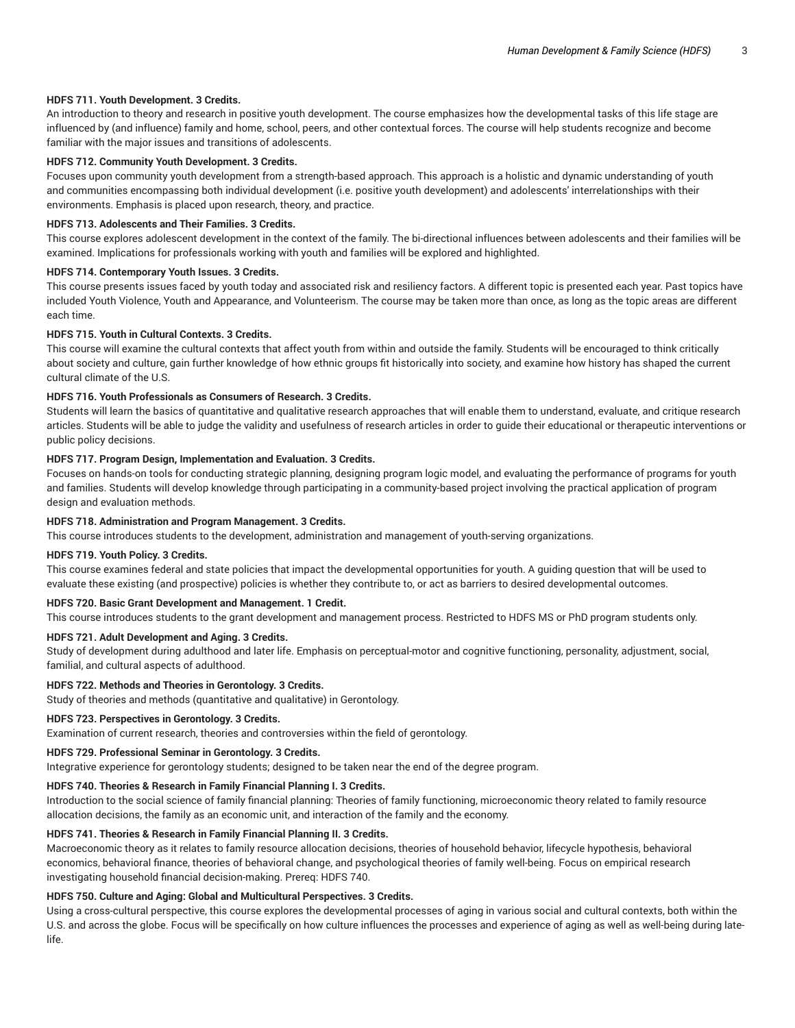# **HDFS 711. Youth Development. 3 Credits.**

An introduction to theory and research in positive youth development. The course emphasizes how the developmental tasks of this life stage are influenced by (and influence) family and home, school, peers, and other contextual forces. The course will help students recognize and become familiar with the major issues and transitions of adolescents.

## **HDFS 712. Community Youth Development. 3 Credits.**

Focuses upon community youth development from a strength-based approach. This approach is a holistic and dynamic understanding of youth and communities encompassing both individual development (i.e. positive youth development) and adolescents' interrelationships with their environments. Emphasis is placed upon research, theory, and practice.

#### **HDFS 713. Adolescents and Their Families. 3 Credits.**

This course explores adolescent development in the context of the family. The bi-directional influences between adolescents and their families will be examined. Implications for professionals working with youth and families will be explored and highlighted.

#### **HDFS 714. Contemporary Youth Issues. 3 Credits.**

This course presents issues faced by youth today and associated risk and resiliency factors. A different topic is presented each year. Past topics have included Youth Violence, Youth and Appearance, and Volunteerism. The course may be taken more than once, as long as the topic areas are different each time.

# **HDFS 715. Youth in Cultural Contexts. 3 Credits.**

This course will examine the cultural contexts that affect youth from within and outside the family. Students will be encouraged to think critically about society and culture, gain further knowledge of how ethnic groups fit historically into society, and examine how history has shaped the current cultural climate of the U.S.

## **HDFS 716. Youth Professionals as Consumers of Research. 3 Credits.**

Students will learn the basics of quantitative and qualitative research approaches that will enable them to understand, evaluate, and critique research articles. Students will be able to judge the validity and usefulness of research articles in order to guide their educational or therapeutic interventions or public policy decisions.

#### **HDFS 717. Program Design, Implementation and Evaluation. 3 Credits.**

Focuses on hands-on tools for conducting strategic planning, designing program logic model, and evaluating the performance of programs for youth and families. Students will develop knowledge through participating in a community-based project involving the practical application of program design and evaluation methods.

#### **HDFS 718. Administration and Program Management. 3 Credits.**

This course introduces students to the development, administration and management of youth-serving organizations.

#### **HDFS 719. Youth Policy. 3 Credits.**

This course examines federal and state policies that impact the developmental opportunities for youth. A guiding question that will be used to evaluate these existing (and prospective) policies is whether they contribute to, or act as barriers to desired developmental outcomes.

# **HDFS 720. Basic Grant Development and Management. 1 Credit.**

This course introduces students to the grant development and management process. Restricted to HDFS MS or PhD program students only.

# **HDFS 721. Adult Development and Aging. 3 Credits.**

Study of development during adulthood and later life. Emphasis on perceptual-motor and cognitive functioning, personality, adjustment, social, familial, and cultural aspects of adulthood.

#### **HDFS 722. Methods and Theories in Gerontology. 3 Credits.**

Study of theories and methods (quantitative and qualitative) in Gerontology.

## **HDFS 723. Perspectives in Gerontology. 3 Credits.**

Examination of current research, theories and controversies within the field of gerontology.

#### **HDFS 729. Professional Seminar in Gerontology. 3 Credits.**

Integrative experience for gerontology students; designed to be taken near the end of the degree program.

## **HDFS 740. Theories & Research in Family Financial Planning I. 3 Credits.**

Introduction to the social science of family financial planning: Theories of family functioning, microeconomic theory related to family resource allocation decisions, the family as an economic unit, and interaction of the family and the economy.

# **HDFS 741. Theories & Research in Family Financial Planning II. 3 Credits.**

Macroeconomic theory as it relates to family resource allocation decisions, theories of household behavior, lifecycle hypothesis, behavioral economics, behavioral finance, theories of behavioral change, and psychological theories of family well-being. Focus on empirical research investigating household financial decision-making. Prereq: HDFS 740.

## **HDFS 750. Culture and Aging: Global and Multicultural Perspectives. 3 Credits.**

Using a cross-cultural perspective, this course explores the developmental processes of aging in various social and cultural contexts, both within the U.S. and across the globe. Focus will be specifically on how culture influences the processes and experience of aging as well as well-being during latelife.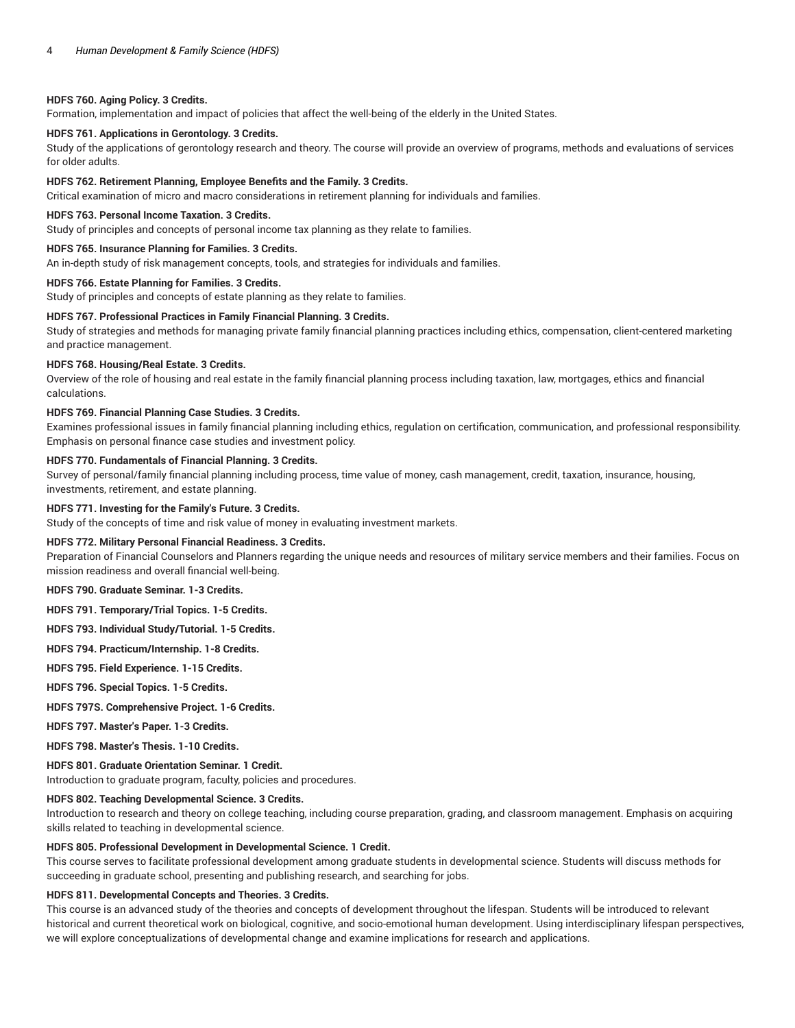# **HDFS 760. Aging Policy. 3 Credits.**

Formation, implementation and impact of policies that affect the well-being of the elderly in the United States.

# **HDFS 761. Applications in Gerontology. 3 Credits.**

Study of the applications of gerontology research and theory. The course will provide an overview of programs, methods and evaluations of services for older adults.

#### **HDFS 762. Retirement Planning, Employee Benefits and the Family. 3 Credits.**

Critical examination of micro and macro considerations in retirement planning for individuals and families.

#### **HDFS 763. Personal Income Taxation. 3 Credits.**

Study of principles and concepts of personal income tax planning as they relate to families.

#### **HDFS 765. Insurance Planning for Families. 3 Credits.**

An in-depth study of risk management concepts, tools, and strategies for individuals and families.

# **HDFS 766. Estate Planning for Families. 3 Credits.**

Study of principles and concepts of estate planning as they relate to families.

# **HDFS 767. Professional Practices in Family Financial Planning. 3 Credits.**

Study of strategies and methods for managing private family financial planning practices including ethics, compensation, client-centered marketing and practice management.

#### **HDFS 768. Housing/Real Estate. 3 Credits.**

Overview of the role of housing and real estate in the family financial planning process including taxation, law, mortgages, ethics and financial calculations.

## **HDFS 769. Financial Planning Case Studies. 3 Credits.**

Examines professional issues in family financial planning including ethics, regulation on certification, communication, and professional responsibility. Emphasis on personal finance case studies and investment policy.

### **HDFS 770. Fundamentals of Financial Planning. 3 Credits.**

Survey of personal/family financial planning including process, time value of money, cash management, credit, taxation, insurance, housing, investments, retirement, and estate planning.

## **HDFS 771. Investing for the Family's Future. 3 Credits.**

Study of the concepts of time and risk value of money in evaluating investment markets.

## **HDFS 772. Military Personal Financial Readiness. 3 Credits.**

Preparation of Financial Counselors and Planners regarding the unique needs and resources of military service members and their families. Focus on mission readiness and overall financial well-being.

**HDFS 790. Graduate Seminar. 1-3 Credits.**

#### **HDFS 791. Temporary/Trial Topics. 1-5 Credits.**

**HDFS 793. Individual Study/Tutorial. 1-5 Credits.**

**HDFS 794. Practicum/Internship. 1-8 Credits.**

**HDFS 795. Field Experience. 1-15 Credits.**

**HDFS 796. Special Topics. 1-5 Credits.**

# **HDFS 797S. Comprehensive Project. 1-6 Credits.**

**HDFS 797. Master's Paper. 1-3 Credits.**

**HDFS 798. Master's Thesis. 1-10 Credits.**

# **HDFS 801. Graduate Orientation Seminar. 1 Credit.**

Introduction to graduate program, faculty, policies and procedures.

#### **HDFS 802. Teaching Developmental Science. 3 Credits.**

Introduction to research and theory on college teaching, including course preparation, grading, and classroom management. Emphasis on acquiring skills related to teaching in developmental science.

## **HDFS 805. Professional Development in Developmental Science. 1 Credit.**

This course serves to facilitate professional development among graduate students in developmental science. Students will discuss methods for succeeding in graduate school, presenting and publishing research, and searching for jobs.

#### **HDFS 811. Developmental Concepts and Theories. 3 Credits.**

This course is an advanced study of the theories and concepts of development throughout the lifespan. Students will be introduced to relevant historical and current theoretical work on biological, cognitive, and socio-emotional human development. Using interdisciplinary lifespan perspectives, we will explore conceptualizations of developmental change and examine implications for research and applications.